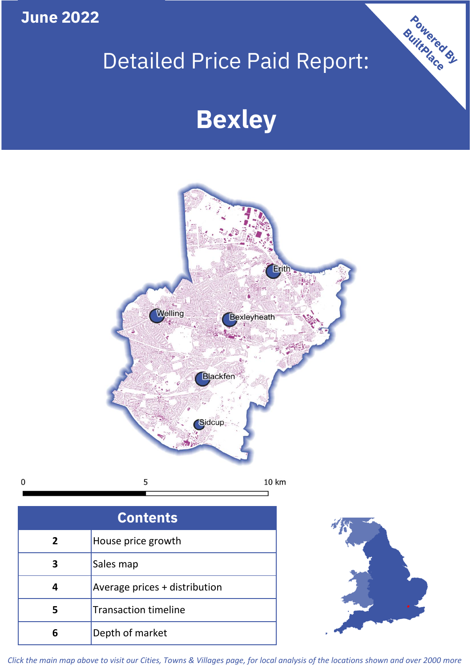**June 2022**

 $\mathbf 0$ 

## Detailed Price Paid Report:

# **Bexley**



| <b>Contents</b> |                               |  |  |
|-----------------|-------------------------------|--|--|
| $\overline{2}$  | House price growth            |  |  |
| 3               | Sales map                     |  |  |
| 4               | Average prices + distribution |  |  |
|                 | <b>Transaction timeline</b>   |  |  |
|                 | Depth of market               |  |  |



Powered By

*Click the main map above to visit our Cities, Towns & Villages page, for local analysis of the locations shown and over 2000 more*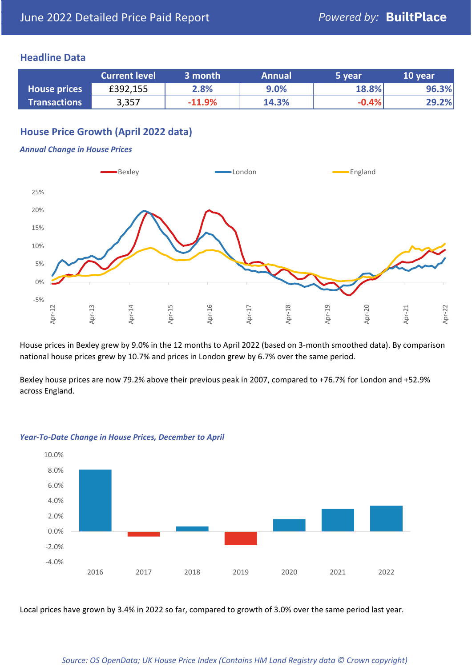#### **Headline Data**

|                     | <b>Current level</b> | ا 3 month | <b>Annual</b> | 5 year  | 10 year |
|---------------------|----------------------|-----------|---------------|---------|---------|
| <b>House prices</b> | £392,155             | 2.8%      | 9.0%          | 18.8%   | 96.3%   |
| <b>Transactions</b> | 3,357                | $-11.9%$  | 14.3%         | $-0.4%$ | 29.2%   |

#### **House Price Growth (April 2022 data)**

#### *Annual Change in House Prices*



House prices in Bexley grew by 9.0% in the 12 months to April 2022 (based on 3-month smoothed data). By comparison national house prices grew by 10.7% and prices in London grew by 6.7% over the same period.

Bexley house prices are now 79.2% above their previous peak in 2007, compared to +76.7% for London and +52.9% across England.



#### *Year-To-Date Change in House Prices, December to April*

Local prices have grown by 3.4% in 2022 so far, compared to growth of 3.0% over the same period last year.

#### *Source: OS OpenData; UK House Price Index (Contains HM Land Registry data © Crown copyright)*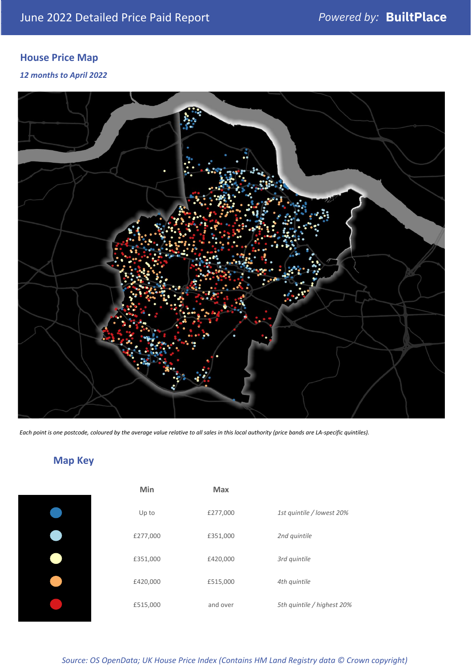### **House Price Map**

*12 months to April 2022*



*Each point is one postcode, coloured by the average value relative to all sales in this local authority (price bands are LA-specific quintiles).*

### **Map Key**

| Min      | <b>Max</b> |              |
|----------|------------|--------------|
| Up to    | £277,000   | 1st quintile |
| £277,000 | £351,000   | 2nd quintile |
| £351,000 | £420,000   | 3rd quintile |
| £420,000 | £515,000   | 4th quintile |
| £515,000 | and over   | 5th quintile |
|          |            |              |

| Min      | <b>Max</b> |                            |
|----------|------------|----------------------------|
| Up to    | £277,000   | 1st quintile / lowest 20%  |
| £277,000 | £351,000   | 2nd quintile               |
| £351,000 | £420,000   | 3rd quintile               |
| £420,000 | £515,000   | 4th quintile               |
| £515,000 | and over   | 5th quintile / highest 20% |

*Source: OS OpenData; UK House Price Index (Contains HM Land Registry data © Crown copyright)*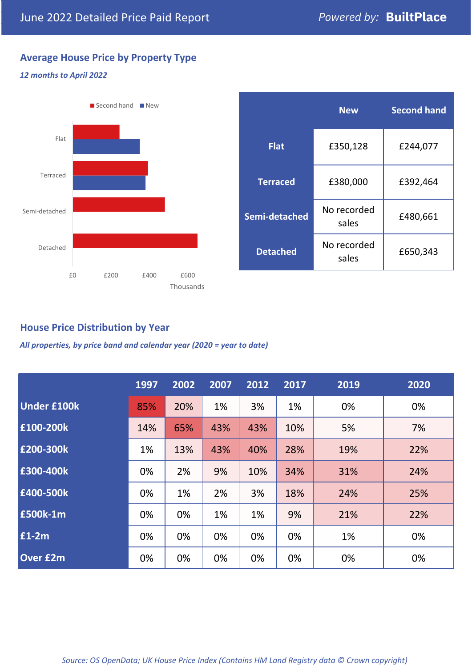#### **Average House Price by Property Type**

#### *12 months to April 2022*



#### **House Price Distribution by Year**

*All properties, by price band and calendar year (2020 = year to date)*

|                    | 1997 | 2002 | 2007 | 2012 | 2017 | 2019 | 2020 |
|--------------------|------|------|------|------|------|------|------|
| <b>Under £100k</b> | 85%  | 20%  | 1%   | 3%   | 1%   | 0%   | 0%   |
| £100-200k          | 14%  | 65%  | 43%  | 43%  | 10%  | 5%   | 7%   |
| £200-300k          | 1%   | 13%  | 43%  | 40%  | 28%  | 19%  | 22%  |
| E300-400k          | 0%   | 2%   | 9%   | 10%  | 34%  | 31%  | 24%  |
| £400-500k          | 0%   | 1%   | 2%   | 3%   | 18%  | 24%  | 25%  |
| <b>£500k-1m</b>    | 0%   | 0%   | 1%   | 1%   | 9%   | 21%  | 22%  |
| £1-2m              | 0%   | 0%   | 0%   | 0%   | 0%   | 1%   | 0%   |
| <b>Over £2m</b>    | 0%   | 0%   | 0%   | 0%   | 0%   | 0%   | 0%   |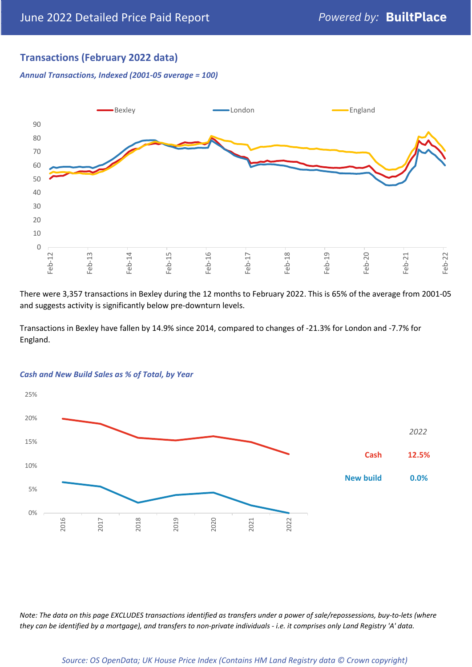#### **Transactions (February 2022 data)**

*Annual Transactions, Indexed (2001-05 average = 100)*



There were 3,357 transactions in Bexley during the 12 months to February 2022. This is 65% of the average from 2001-05 and suggests activity is significantly below pre-downturn levels.

Transactions in Bexley have fallen by 14.9% since 2014, compared to changes of -21.3% for London and -7.7% for England.



#### *Cash and New Build Sales as % of Total, by Year*

*Note: The data on this page EXCLUDES transactions identified as transfers under a power of sale/repossessions, buy-to-lets (where they can be identified by a mortgage), and transfers to non-private individuals - i.e. it comprises only Land Registry 'A' data.*